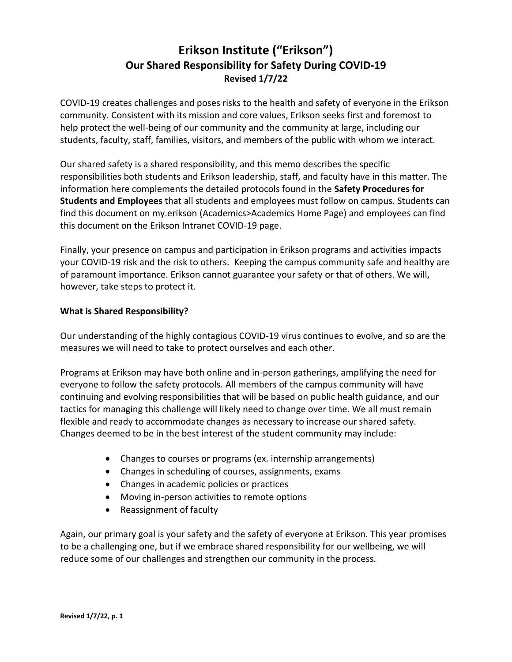## **Erikson Institute ("Erikson") Our Shared Responsibility for Safety During COVID-19 Revised 1/7/22**

COVID-19 creates challenges and poses risks to the health and safety of everyone in the Erikson community. Consistent with its mission and core values, Erikson seeks first and foremost to help protect the well-being of our community and the community at large, including our students, faculty, staff, families, visitors, and members of the public with whom we interact.

Our shared safety is a shared responsibility, and this memo describes the specific responsibilities both students and Erikson leadership, staff, and faculty have in this matter. The information here complements the detailed protocols found in the **Safety Procedures for Students and Employees** that all students and employees must follow on campus. Students can find this document on my.erikson (Academics>Academics Home Page) and employees can find this document on the Erikson Intranet COVID-19 page.

Finally, your presence on campus and participation in Erikson programs and activities impacts your COVID-19 risk and the risk to others. Keeping the campus community safe and healthy are of paramount importance. Erikson cannot guarantee your safety or that of others. We will, however, take steps to protect it.

## **What is Shared Responsibility?**

Our understanding of the highly contagious COVID-19 virus continues to evolve, and so are the measures we will need to take to protect ourselves and each other.

Programs at Erikson may have both online and in-person gatherings, amplifying the need for everyone to follow the safety protocols. All members of the campus community will have continuing and evolving responsibilities that will be based on public health guidance, and our tactics for managing this challenge will likely need to change over time. We all must remain flexible and ready to accommodate changes as necessary to increase our shared safety. Changes deemed to be in the best interest of the student community may include:

- Changes to courses or programs (ex. internship arrangements)
- Changes in scheduling of courses, assignments, exams
- Changes in academic policies or practices
- Moving in-person activities to remote options
- Reassignment of faculty

Again, our primary goal is your safety and the safety of everyone at Erikson. This year promises to be a challenging one, but if we embrace shared responsibility for our wellbeing, we will reduce some of our challenges and strengthen our community in the process.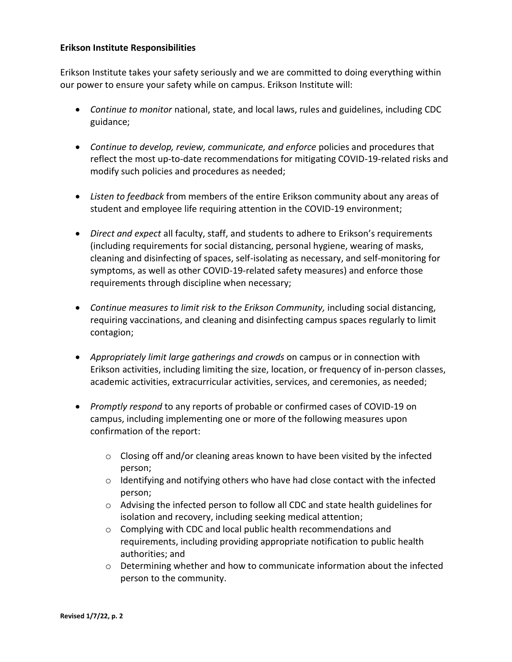## **Erikson Institute Responsibilities**

Erikson Institute takes your safety seriously and we are committed to doing everything within our power to ensure your safety while on campus. Erikson Institute will:

- *Continue to monitor* national, state, and local laws, rules and guidelines, including CDC guidance;
- *Continue to develop, review, communicate, and enforce* policies and procedures that reflect the most up-to-date recommendations for mitigating COVID-19-related risks and modify such policies and procedures as needed;
- *Listen to feedback* from members of the entire Erikson community about any areas of student and employee life requiring attention in the COVID-19 environment;
- *Direct and expect* all faculty, staff, and students to adhere to Erikson's requirements (including requirements for social distancing, personal hygiene, wearing of masks, cleaning and disinfecting of spaces, self-isolating as necessary, and self-monitoring for symptoms, as well as other COVID-19-related safety measures) and enforce those requirements through discipline when necessary;
- *Continue measures to limit risk to the Erikson Community,* including social distancing, requiring vaccinations, and cleaning and disinfecting campus spaces regularly to limit contagion;
- *Appropriately limit large gatherings and crowds* on campus or in connection with Erikson activities, including limiting the size, location, or frequency of in-person classes, academic activities, extracurricular activities, services, and ceremonies, as needed;
- *Promptly respond* to any reports of probable or confirmed cases of COVID-19 on campus, including implementing one or more of the following measures upon confirmation of the report:
	- $\circ$  Closing off and/or cleaning areas known to have been visited by the infected person;
	- $\circ$  Identifying and notifying others who have had close contact with the infected person;
	- $\circ$  Advising the infected person to follow all CDC and state health guidelines for isolation and recovery, including seeking medical attention;
	- o Complying with CDC and local public health recommendations and requirements, including providing appropriate notification to public health authorities; and
	- $\circ$  Determining whether and how to communicate information about the infected person to the community.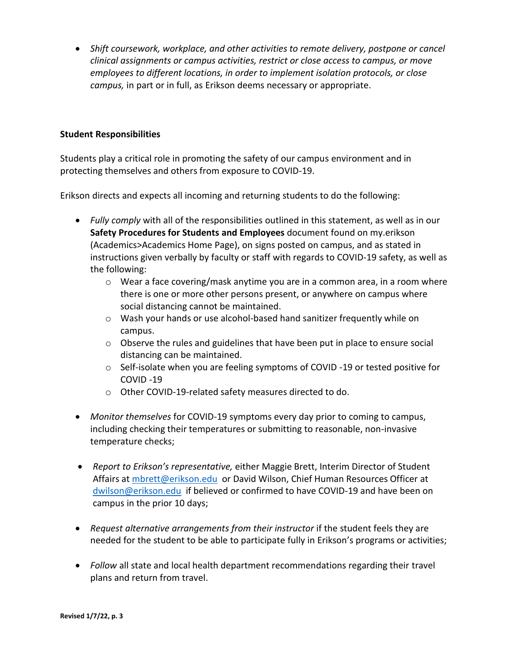• *Shift coursework, workplace, and other activities to remote delivery, postpone or cancel clinical assignments or campus activities, restrict or close access to campus, or move employees to different locations, in order to implement isolation protocols, or close campus,* in part or in full, as Erikson deems necessary or appropriate.

## **Student Responsibilities**

Students play a critical role in promoting the safety of our campus environment and in protecting themselves and others from exposure to COVID-19.

Erikson directs and expects all incoming and returning students to do the following:

- *Fully comply* with all of the responsibilities outlined in this statement, as well as in our **Safety Procedures for Students and Employees** document found on my.erikson (Academics>Academics Home Page), on signs posted on campus, and as stated in instructions given verbally by faculty or staff with regards to COVID-19 safety, as well as the following:
	- $\circ$  Wear a face covering/mask anytime you are in a common area, in a room where there is one or more other persons present, or anywhere on campus where social distancing cannot be maintained.
	- o Wash your hands or use alcohol-based hand sanitizer frequently while on campus.
	- $\circ$  Observe the rules and guidelines that have been put in place to ensure social distancing can be maintained.
	- o Self-isolate when you are feeling symptoms of COVID -19 or tested positive for COVID -19
	- o Other COVID-19-related safety measures directed to do.
- *Monitor themselves* for COVID-19 symptoms every day prior to coming to campus, including checking their temperatures or submitting to reasonable, non-invasive temperature checks;
- *Report to Erikson's representative,* either Maggie Brett, Interim Director of Student Affairs at [mbrett@erikson.edu](mailto:mbrett@erikson.edu) or David Wilson, Chief Human Resources Officer at [dwilson@erikson.edu](mailto:dwilson@erikson.edu) if believed or confirmed to have COVID-19 and have been on campus in the prior 10 days;
- Request alternative arrangements from their instructor if the student feels they are needed for the student to be able to participate fully in Erikson's programs or activities;
- *Follow* all state and local health department recommendations regarding their travel plans and return from travel.